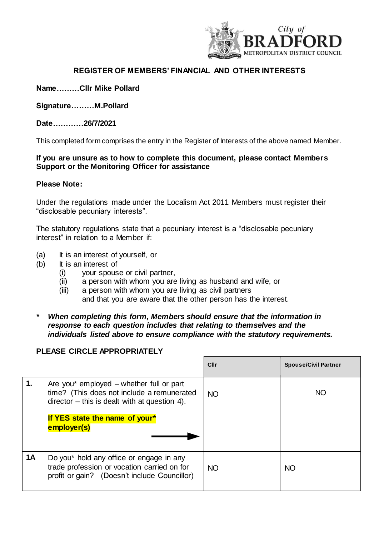

# **REGISTER OF MEMBERS' FINANCIAL AND OTHER INTERESTS**

**Name………Cllr Mike Pollard**

**Signature………M.Pollard** 

**Date…………26/7/2021**

This completed form comprises the entry in the Register of Interests of the above named Member.

## **If you are unsure as to how to complete this document, please contact Members Support or the Monitoring Officer for assistance**

### **Please Note:**

Under the regulations made under the Localism Act 2011 Members must register their "disclosable pecuniary interests".

The statutory regulations state that a pecuniary interest is a "disclosable pecuniary interest" in relation to a Member if:

- (a) It is an interest of yourself, or
- (b) It is an interest of
	- (i) your spouse or civil partner,
	- (ii) a person with whom you are living as husband and wife, or
	- (iii) a person with whom you are living as civil partners and that you are aware that the other person has the interest.
- *\* When completing this form, Members should ensure that the information in response to each question includes that relating to themselves and the individuals listed above to ensure compliance with the statutory requirements.*

## **PLEASE CIRCLE APPROPRIATELY**

|           |                                                                                                                                                                                           | <b>Cllr</b> | <b>Spouse/Civil Partner</b> |
|-----------|-------------------------------------------------------------------------------------------------------------------------------------------------------------------------------------------|-------------|-----------------------------|
| 1.        | Are you* employed – whether full or part<br>time? (This does not include a remunerated<br>$director - this is dealt with at question 4.$<br>If YES state the name of your*<br>employer(s) | <b>NO</b>   | <b>NO</b>                   |
| <b>1A</b> | Do you* hold any office or engage in any<br>trade profession or vocation carried on for<br>profit or gain? (Doesn't include Councillor)                                                   | <b>NO</b>   | <b>NO</b>                   |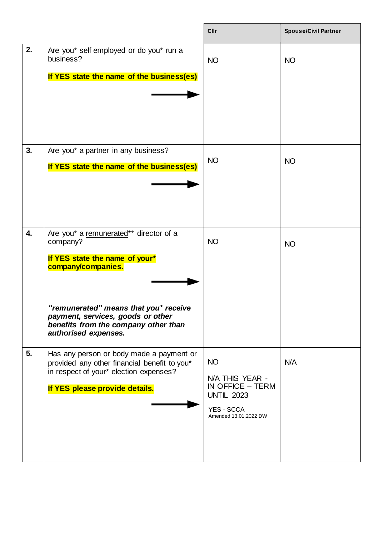|                  |                                                                                                                                                                                                                                                          | <b>Cllr</b>                                                                                                    | <b>Spouse/Civil Partner</b> |
|------------------|----------------------------------------------------------------------------------------------------------------------------------------------------------------------------------------------------------------------------------------------------------|----------------------------------------------------------------------------------------------------------------|-----------------------------|
| 2.               | Are you* self employed or do you* run a<br>business?<br>If YES state the name of the business(es)                                                                                                                                                        | <b>NO</b>                                                                                                      | <b>NO</b>                   |
| 3.               | Are you* a partner in any business?<br>If YES state the name of the business(es)                                                                                                                                                                         | <b>NO</b>                                                                                                      | <b>NO</b>                   |
| $\overline{4}$ . | Are you* a remunerated** director of a<br>company?<br>If YES state the name of your*<br>company/companies.<br>"remunerated" means that you* receive<br>payment, services, goods or other<br>benefits from the company other than<br>authorised expenses. | <b>NO</b>                                                                                                      | <b>NO</b>                   |
| 5.               | Has any person or body made a payment or<br>provided any other financial benefit to you*<br>in respect of your* election expenses?<br>If YES please provide details.                                                                                     | <b>NO</b><br>N/A THIS YEAR -<br>IN OFFICE $-$ TERM<br><b>UNTIL 2023</b><br>YES - SCCA<br>Amended 13.01.2022 DW | N/A                         |

 $\mathbf{r}$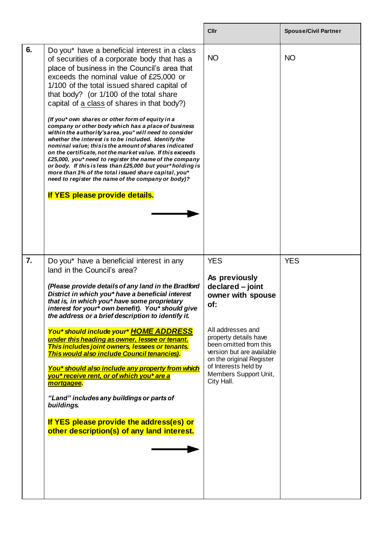|                  |                                                                                                                                                                                                                                                                                                                                                                                                                                                                                                                                                                                                                                                                                                                                                                                                                                                                                                                                                              | Cllr                                                                                                                                                                                                                                                                        | <b>Spouse/Civil Partner</b> |
|------------------|--------------------------------------------------------------------------------------------------------------------------------------------------------------------------------------------------------------------------------------------------------------------------------------------------------------------------------------------------------------------------------------------------------------------------------------------------------------------------------------------------------------------------------------------------------------------------------------------------------------------------------------------------------------------------------------------------------------------------------------------------------------------------------------------------------------------------------------------------------------------------------------------------------------------------------------------------------------|-----------------------------------------------------------------------------------------------------------------------------------------------------------------------------------------------------------------------------------------------------------------------------|-----------------------------|
| 6.               | Do you* have a beneficial interest in a class<br>of securities of a corporate body that has a<br>place of business in the Council's area that<br>exceeds the nominal value of £25,000 or<br>1/100 of the total issued shared capital of<br>that body? (or 1/100 of the total share<br>capital of a class of shares in that body?)<br>(If you* own shares or other form of equity in a<br>company or other body which has a place of business<br>within the authority's area, you* will need to consider<br>whether the interest is to be included. Identify the<br>nominal value; this is the amount of shares indicated<br>on the certificate, not the market value. If this exceeds<br>£25,000, you* need to register the name of the company<br>or body. If this is less than £25,000 but your*holding is<br>more than 1% of the total issued share capital, you*<br>need to register the name of the company or body)?<br>If YES please provide details. | <b>NO</b>                                                                                                                                                                                                                                                                   | <b>NO</b>                   |
| $\overline{7}$ . | Do you* have a beneficial interest in any<br>land in the Council's area?<br>(Please provide details of any land in the Bradford<br>District in which you* have a beneficial interest<br>that is, in which you* have some proprietary<br>interest for your* own benefit). You* should give<br>the address or a brief description to identify it.<br>You* should include your* HOME ADDRESS<br>under this heading as owner, lessee or tenant.<br>This includes joint owners, lessees or tenants.<br>This would also include Council tenancies).<br>You* should also include any property from which<br>you* receive rent, or of which you* are a<br>mortgagee.<br>"Land" includes any buildings or parts of<br>buildings.<br>If YES please provide the address(es) or<br>other description(s) of any land interest.                                                                                                                                            | <b>YES</b><br>As previously<br>declared - joint<br>owner with spouse<br>of:<br>All addresses and<br>property details have<br>been omitted from this<br>version but are available<br>on the original Register<br>of Interests held by<br>Members Support Unit,<br>City Hall. | <b>YES</b>                  |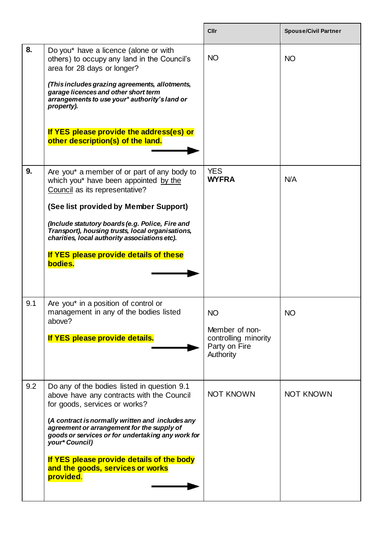|     |                                                                                                                                                                                                                                                                                                                                                                                                  | Cllr                                                                       | <b>Spouse/Civil Partner</b> |
|-----|--------------------------------------------------------------------------------------------------------------------------------------------------------------------------------------------------------------------------------------------------------------------------------------------------------------------------------------------------------------------------------------------------|----------------------------------------------------------------------------|-----------------------------|
| 8.  | Do you* have a licence (alone or with<br>others) to occupy any land in the Council's<br>area for 28 days or longer?<br>(This includes grazing agreements, allotments,<br>garage licences and other short term<br>arrangements to use your* authority's land or<br>property).<br>If YES please provide the address(es) or<br>other description(s) of the land.                                    | <b>NO</b>                                                                  | <b>NO</b>                   |
| 9.  | Are you* a member of or part of any body to<br>which you* have been appointed by the<br>Council as its representative?<br>(See list provided by Member Support)<br>(Include statutory boards (e.g. Police, Fire and<br>Transport), housing trusts, local organisations,<br>charities, local authority associations etc).<br>If YES please provide details of these<br>bodies.                    | <b>YES</b><br><b>WYFRA</b>                                                 | N/A                         |
| 9.1 | Are you* in a position of control or<br>management in any of the bodies listed<br>above?<br>If YES please provide details.                                                                                                                                                                                                                                                                       | NO<br>Member of non-<br>controlling minority<br>Party on Fire<br>Authority | <b>NO</b>                   |
| 9.2 | Do any of the bodies listed in question 9.1<br>above have any contracts with the Council<br>for goods, services or works?<br>(A contract is normally written and includes any<br>agreement or arrangement for the supply of<br>goods or services or for undertaking any work for<br>your* Council)<br>If YES please provide details of the body<br>and the goods, services or works<br>provided. | <b>NOT KNOWN</b>                                                           | <b>NOT KNOWN</b>            |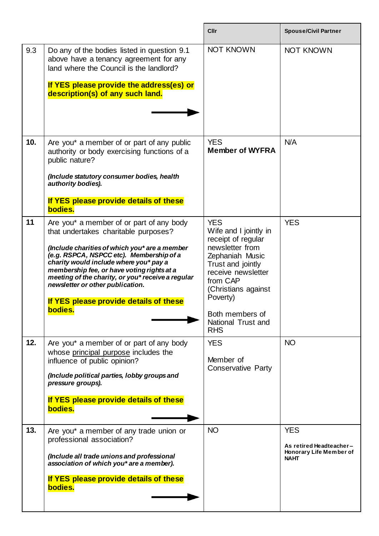|     |                                                                                                                                                                                                                         | Cllr                                                                                                                 | <b>Spouse/Civil Partner</b>            |
|-----|-------------------------------------------------------------------------------------------------------------------------------------------------------------------------------------------------------------------------|----------------------------------------------------------------------------------------------------------------------|----------------------------------------|
| 9.3 | Do any of the bodies listed in question 9.1<br>above have a tenancy agreement for any<br>land where the Council is the landlord?                                                                                        | <b>NOT KNOWN</b>                                                                                                     | <b>NOT KNOWN</b>                       |
|     | If YES please provide the address(es) or<br>description(s) of any such land.                                                                                                                                            |                                                                                                                      |                                        |
|     |                                                                                                                                                                                                                         |                                                                                                                      |                                        |
| 10. | Are you* a member of or part of any public<br>authority or body exercising functions of a<br>public nature?                                                                                                             | <b>YES</b><br><b>Member of WYFRA</b>                                                                                 | N/A                                    |
|     | (Include statutory consumer bodies, health<br>authority bodies).                                                                                                                                                        |                                                                                                                      |                                        |
|     | If YES please provide details of these<br>bodies.                                                                                                                                                                       |                                                                                                                      |                                        |
| 11  | Are you* a member of or part of any body<br>that undertakes charitable purposes?<br>(Include charities of which you* are a member<br>(e.g. RSPCA, NSPCC etc). Membership of a<br>charity would include where you* pay a | <b>YES</b><br>Wife and I jointly in<br>receipt of regular<br>newsletter from<br>Zephaniah Music<br>Trust and jointly | <b>YES</b>                             |
|     | membership fee, or have voting rights at a<br>meeting of the charity, or you* receive a regular<br>newsletter or other publication.                                                                                     | receive newsletter<br>from CAP<br>(Christians against<br>Poverty)                                                    |                                        |
|     | If YES please provide details of these<br>bodies.                                                                                                                                                                       | Both members of                                                                                                      |                                        |
|     |                                                                                                                                                                                                                         | National Trust and<br><b>RHS</b>                                                                                     |                                        |
| 12. | Are you* a member of or part of any body<br>whose principal purpose includes the<br>influence of public opinion?                                                                                                        | <b>YES</b><br>Member of<br><b>Conservative Party</b>                                                                 | <b>NO</b>                              |
|     | (Include political parties, lobby groups and<br>pressure groups).                                                                                                                                                       |                                                                                                                      |                                        |
|     | If YES please provide details of these<br>bodies.                                                                                                                                                                       |                                                                                                                      |                                        |
| 13. | Are you* a member of any trade union or<br>professional association?                                                                                                                                                    | <b>NO</b>                                                                                                            | <b>YES</b><br>As retired Headteacher-  |
|     | (Include all trade unions and professional<br>association of which you* are a member).                                                                                                                                  |                                                                                                                      | Honorary Life Member of<br><b>NAHT</b> |
|     | If YES please provide details of these<br>bodies.                                                                                                                                                                       |                                                                                                                      |                                        |

 $\mathbf{r}$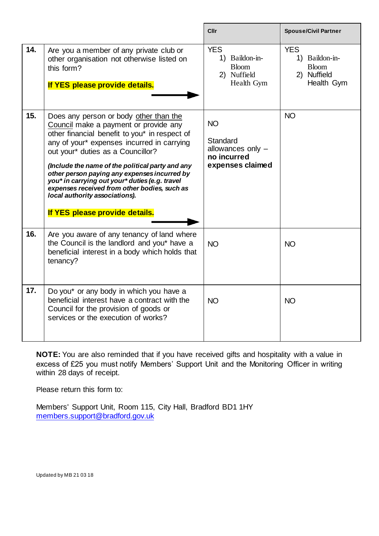|     |                                                                                                                                                                                                                                                                                                                                                                                                                                                                                               | <b>Cllr</b>                                                                   | <b>Spouse/Civil Partner</b>                                               |
|-----|-----------------------------------------------------------------------------------------------------------------------------------------------------------------------------------------------------------------------------------------------------------------------------------------------------------------------------------------------------------------------------------------------------------------------------------------------------------------------------------------------|-------------------------------------------------------------------------------|---------------------------------------------------------------------------|
| 14. | Are you a member of any private club or<br>other organisation not otherwise listed on<br>this form?<br>If YES please provide details.                                                                                                                                                                                                                                                                                                                                                         | <b>YES</b><br>1) Baildon-in-<br><b>Bloom</b><br>2) Nuffield<br>Health Gym     | <b>YES</b><br>1) Baildon-in-<br><b>Bloom</b><br>2) Nuffield<br>Health Gym |
| 15. | Does any person or body other than the<br>Council make a payment or provide any<br>other financial benefit to you* in respect of<br>any of your* expenses incurred in carrying<br>out your* duties as a Councillor?<br>(Include the name of the political party and any<br>other person paying any expenses incurred by<br>you* in carrying out your* duties (e.g. travel<br>expenses received from other bodies, such as<br>local authority associations).<br>If YES please provide details. | <b>NO</b><br>Standard<br>allowances only -<br>no incurred<br>expenses claimed | <b>NO</b>                                                                 |
| 16. | Are you aware of any tenancy of land where<br>the Council is the landlord and you* have a<br>beneficial interest in a body which holds that<br>tenancy?                                                                                                                                                                                                                                                                                                                                       | <b>NO</b>                                                                     | <b>NO</b>                                                                 |
| 17. | Do you* or any body in which you have a<br>beneficial interest have a contract with the<br>Council for the provision of goods or<br>services or the execution of works?                                                                                                                                                                                                                                                                                                                       | <b>NO</b>                                                                     | <b>NO</b>                                                                 |

**NOTE:** You are also reminded that if you have received gifts and hospitality with a value in excess of £25 you must notify Members' Support Unit and the Monitoring Officer in writing within 28 days of receipt.

Please return this form to:

Members' Support Unit, Room 115, City Hall, Bradford BD1 1HY [members.support@bradford.gov.uk](mailto:members.support@bradford.gov.uk)